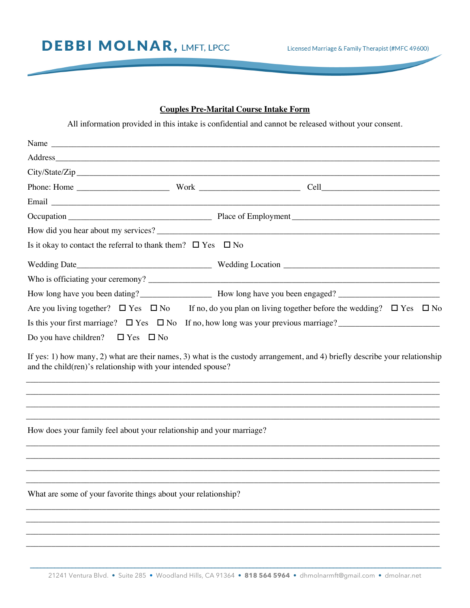**DEBBI MOLNAR, LMFT, LPCC** 

## **Couples Pre-Marital Course Intake Form**

All information provided in this intake is confidential and cannot be released without your consent.

| Name                                                                                                                                                                                                                          |  |
|-------------------------------------------------------------------------------------------------------------------------------------------------------------------------------------------------------------------------------|--|
|                                                                                                                                                                                                                               |  |
|                                                                                                                                                                                                                               |  |
|                                                                                                                                                                                                                               |  |
| Email Land and the second contract of the second contract of the second contract of the second contract of the second contract of the second contract of the second contract of the second contract of the second contract of |  |
|                                                                                                                                                                                                                               |  |
|                                                                                                                                                                                                                               |  |
| Is it okay to contact the referral to thank them? $\Box$ Yes $\Box$ No                                                                                                                                                        |  |
|                                                                                                                                                                                                                               |  |
|                                                                                                                                                                                                                               |  |
|                                                                                                                                                                                                                               |  |
| Are you living together? $\Box$ Yes $\Box$ No If no, do you plan on living together before the wedding? $\Box$ Yes $\Box$ No                                                                                                  |  |
| Is this your first marriage? $\square$ Yes $\square$ No If no, how long was your previous marriage?                                                                                                                           |  |
| Do you have children? $\Box$ Yes $\Box$ No                                                                                                                                                                                    |  |
| If yes: 1) how many, 2) what are their names, 3) what is the custody arrangement, and 4) briefly describe your relationship<br>and the child(ren)'s relationship with your intended spouse?                                   |  |
| How does your family feel about your relationship and your marriage?                                                                                                                                                          |  |
| What are some of your favorite things about your relationship?                                                                                                                                                                |  |
|                                                                                                                                                                                                                               |  |